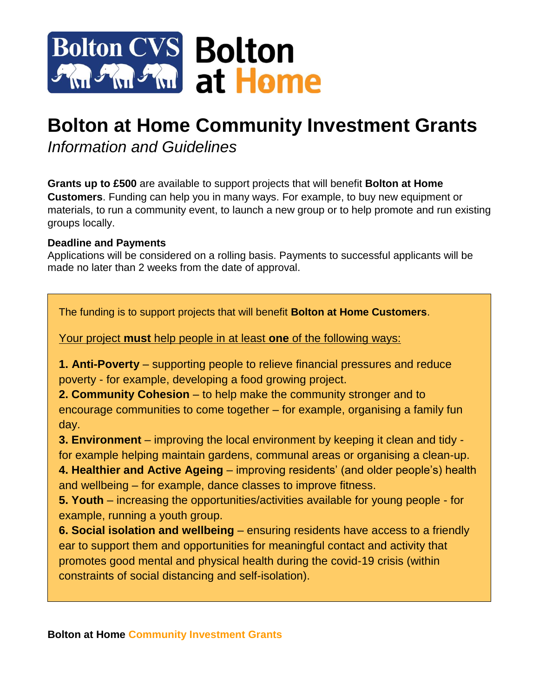

# **Bolton at Home Community Investment Grants**

*Information and Guidelines*

**Grants up to £500** are available to support projects that will benefit **Bolton at Home Customers**. Funding can help you in many ways. For example, to buy new equipment or materials, to run a community event, to launch a new group or to help promote and run existing groups locally.

# **Deadline and Payments**

Applications will be considered on a rolling basis. Payments to successful applicants will be made no later than 2 weeks from the date of approval.

The funding is to support projects that will benefit **Bolton at Home Customers**.

Your project **must** help people in at least **one** of the following ways:

**1. Anti-Poverty** – supporting people to relieve financial pressures and reduce poverty - for example, developing a food growing project.

**2. Community Cohesion** – to help make the community stronger and to encourage communities to come together – for example, organising a family fun day.

**3. Environment** – improving the local environment by keeping it clean and tidy for example helping maintain gardens, communal areas or organising a clean-up.

**4. Healthier and Active Ageing** – improving residents' (and older people's) health and wellbeing – for example, dance classes to improve fitness.

**5. Youth** – increasing the opportunities/activities available for young people - for example, running a youth group.

**6. Social isolation and wellbeing** – ensuring residents have access to a friendly ear to support them and opportunities for meaningful contact and activity that promotes good mental and physical health during the covid-19 crisis (within constraints of social distancing and self-isolation).